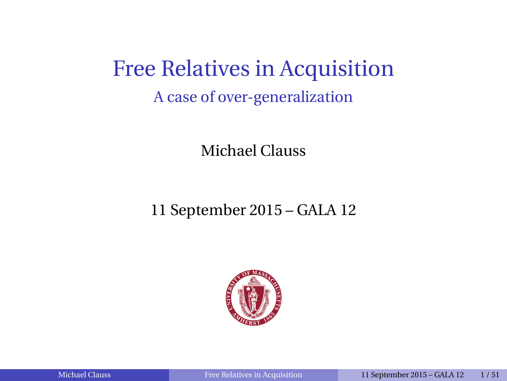Free Relatives in Acquisition A case of over-generalization

Michael Clauss

11 September 2015 – GALA 12

<span id="page-0-0"></span>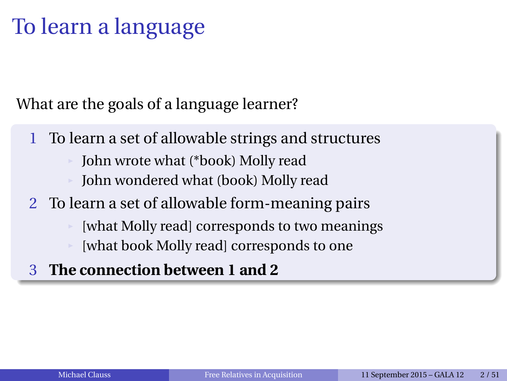# To learn a language

What are the goals of a language learner?

- 1 To learn a set of allowable strings and structures
	- John wrote what (\*book) Molly read
	- John wondered what (book) Molly read
- 2 To learn a set of allowable form-meaning pairs
	- [what Molly read] corresponds to two meanings [what book Molly read] corresponds to one
- 3 **The connection between 1 and 2**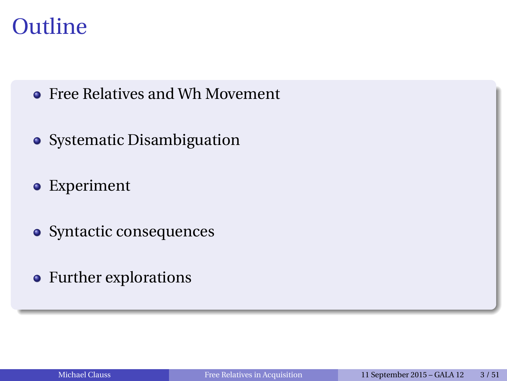### **Outline**

- **Free Relatives and Wh Movement**
- Systematic Disambiguation
- Experiment
- Syntactic consequences
- Further explorations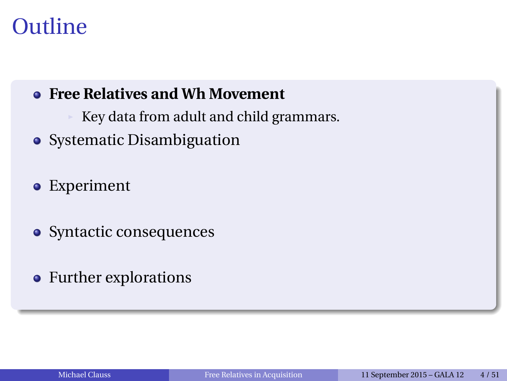### **Outline**

#### **Free Relatives and Wh Movement**

- Key data from adult and child grammars.
- Systematic Disambiguation

#### Experiment

- Syntactic consequences
- Further explorations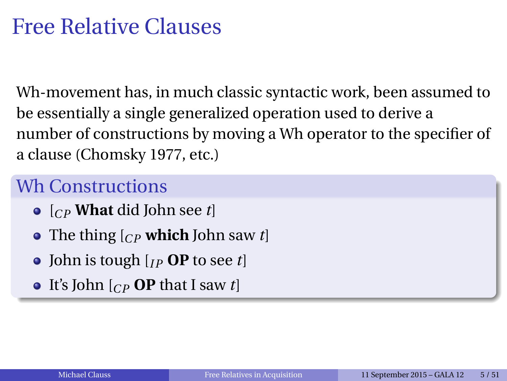Wh-movement has, in much classic syntactic work, been assumed to be essentially a single generalized operation used to derive a number of constructions by moving a Wh operator to the specifier of a clause (Chomsky 1977, etc.)

#### Wh Constructions

- [*CP* **What** did John see *t*]
- The thing [*CP* **which** John saw *t*]
- $\bullet$  John is tough  $\left[$ <sub>*IP*</sub> **OP** to see *t* $\left[$
- It's John  $\begin{bmatrix} C_P & \mathbf{OP} \end{bmatrix}$  that I saw *t*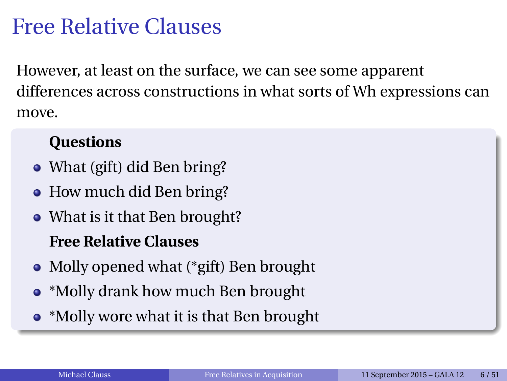However, at least on the surface, we can see some apparent differences across constructions in what sorts of Wh expressions can move.

#### **Questions**

- What (gift) did Ben bring?
- How much did Ben bring?
- What is it that Ben brought?

#### **Free Relative Clauses**

- Molly opened what (\*gift) Ben brought
- \*Molly drank how much Ben brought
- \*Molly wore what it is that Ben brought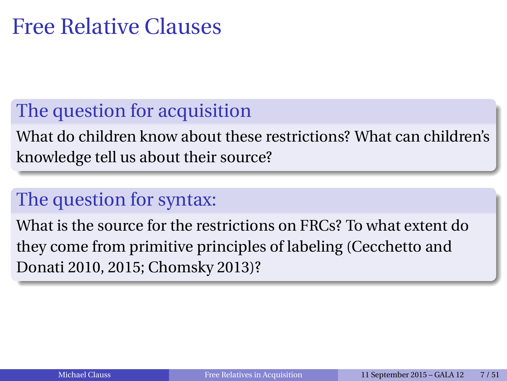### The question for acquisition

What do children know about these restrictions? What can children's knowledge tell us about their source?

### The question for syntax:

What is the source for the restrictions on FRCs? To what extent do they come from primitive principles of labeling (Cecchetto and Donati 2010, 2015; Chomsky 2013)?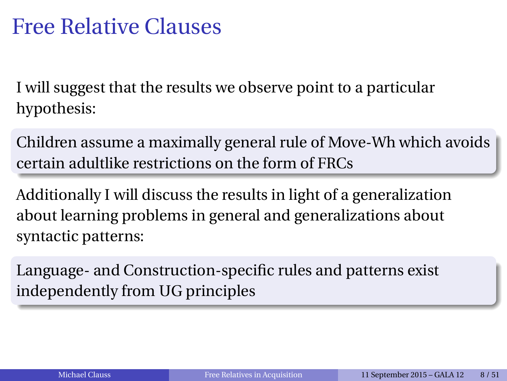I will suggest that the results we observe point to a particular hypothesis:

Children assume a maximally general rule of Move-Wh which avoids certain adultlike restrictions on the form of FRCs

Additionally I will discuss the results in light of a generalization about learning problems in general and generalizations about syntactic patterns:

Language- and Construction-specific rules and patterns exist independently from UG principles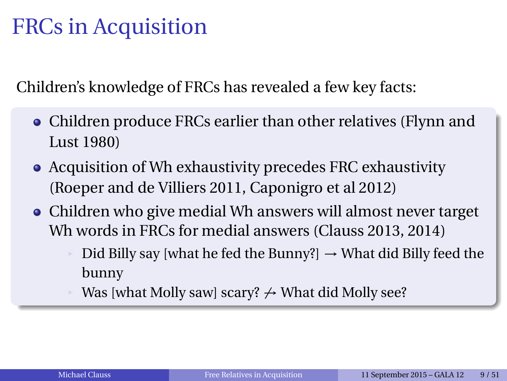## FRCs in Acquisition

Children's knowledge of FRCs has revealed a few key facts:

- Children produce FRCs earlier than other relatives (Flynn and Lust 1980)
- Acquisition of Wh exhaustivity precedes FRC exhaustivity (Roeper and de Villiers 2011, Caponigro et al 2012)
- Children who give medial Wh answers will almost never target Wh words in FRCs for medial answers (Clauss 2013, 2014)
	- Did Billy say [what he fed the Bunny?]  $→$  What did Billy feed the bunny
	- Was [what Molly saw] scary?  $\rightarrow$  What did Molly see?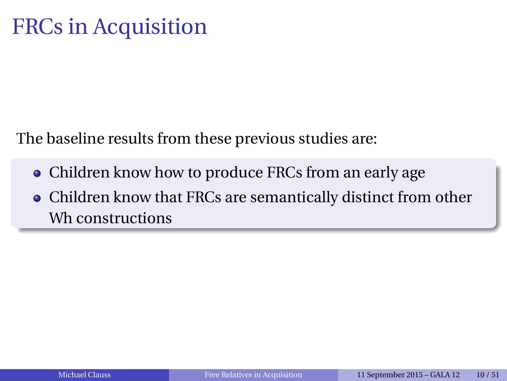# FRCs in Acquisition

The baseline results from these previous studies are:

- Children know how to produce FRCs from an early age
- Children know that FRCs are semantically distinct from other Wh constructions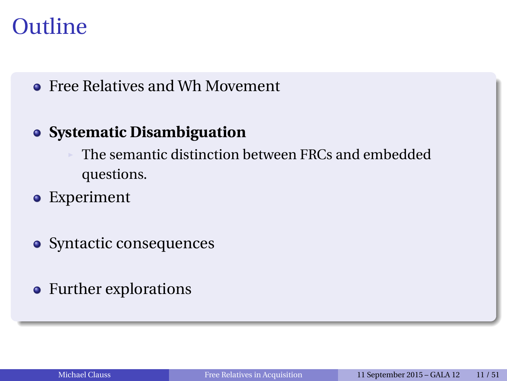### **Outline**

#### **• Free Relatives and Wh Movement**

#### **Systematic Disambiguation**

The semantic distinction between FRCs and embedded questions.

- Experiment
- Syntactic consequences
- Further explorations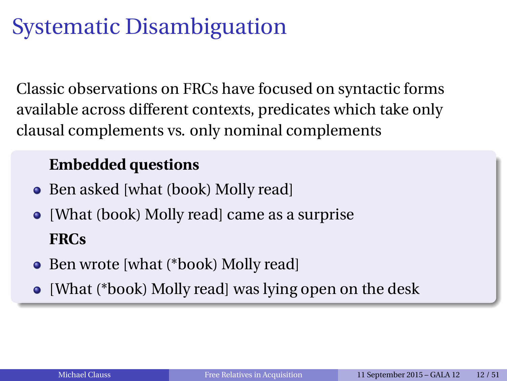Classic observations on FRCs have focused on syntactic forms available across different contexts, predicates which take only clausal complements vs. only nominal complements

#### **Embedded questions**

- Ben asked [what (book) Molly read]
- [What (book) Molly read] came as a surprise **FRCs**
- Ben wrote [what (\*book) Molly read]
- [What (\*book) Molly read] was lying open on the desk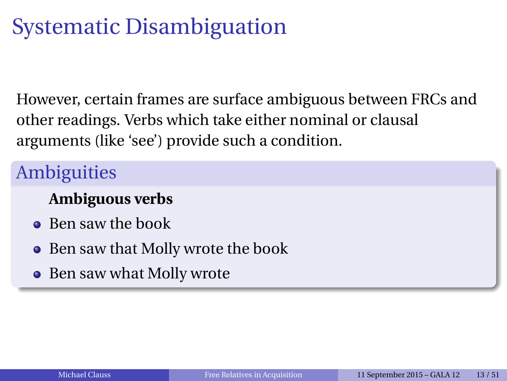However, certain frames are surface ambiguous between FRCs and other readings. Verbs which take either nominal or clausal arguments (like 'see') provide such a condition.

### **Ambiguities**

#### **Ambiguous verbs**

- Ben saw the book
- Ben saw that Molly wrote the book  $\bullet$
- Ben saw what Molly wrote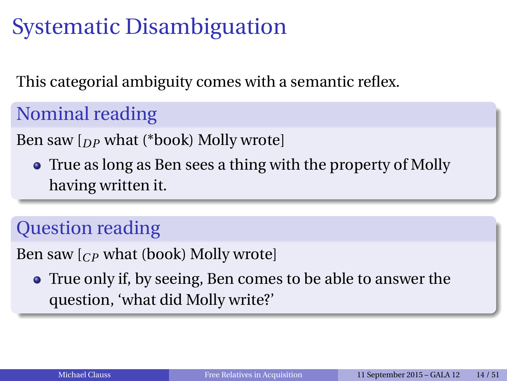This categorial ambiguity comes with a semantic reflex.

Nominal reading

Ben saw [*DP* what (\*book) Molly wrote]

True as long as Ben sees a thing with the property of Molly having written it.

### Question reading

Ben saw [*CP* what (book) Molly wrote]

True only if, by seeing, Ben comes to be able to answer the question, 'what did Molly write?'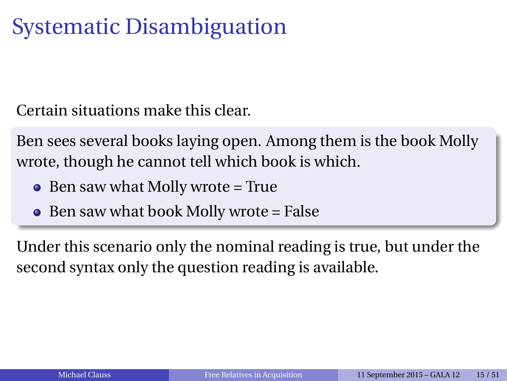Certain situations make this clear.

Ben sees several books laying open. Among them is the book Molly wrote, though he cannot tell which book is which.

- $\bullet$  Ben saw what Molly wrote = True
- $\bullet$  Ben saw what book Molly wrote = False

Under this scenario only the nominal reading is true, but under the second syntax only the question reading is available.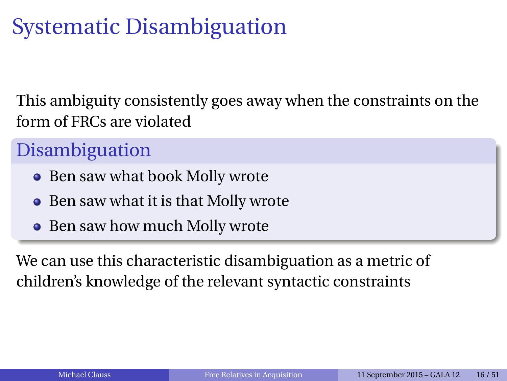This ambiguity consistently goes away when the constraints on the form of FRCs are violated

### Disambiguation

- Ben saw what book Molly wrote
- Ben saw what it is that Molly wrote
- Ben saw how much Molly wrote

We can use this characteristic disambiguation as a metric of children's knowledge of the relevant syntactic constraints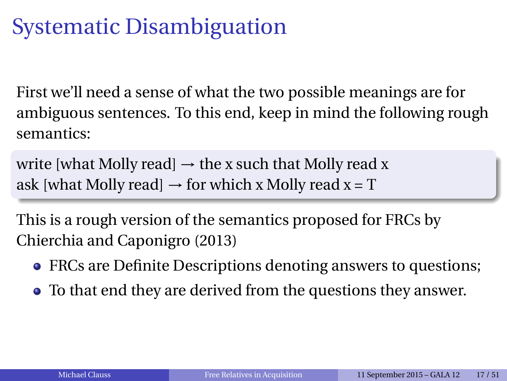First we'll need a sense of what the two possible meanings are for ambiguous sentences. To this end, keep in mind the following rough semantics:

write [what Molly read]  $\rightarrow$  the x such that Molly read x ask [what Molly read]  $\rightarrow$  for which x Molly read x = T

This is a rough version of the semantics proposed for FRCs by Chierchia and Caponigro (2013)

- FRCs are Definite Descriptions denoting answers to questions;
- To that end they are derived from the questions they answer.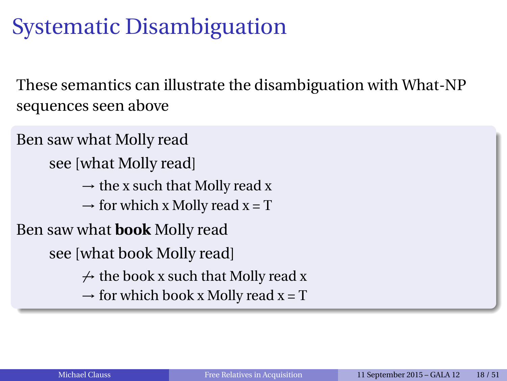These semantics can illustrate the disambiguation with What-NP sequences seen above

Ben saw what Molly read see [what Molly read]  $\rightarrow$  the x such that Molly read x  $\rightarrow$  for which x Molly read x = T Ben saw what **book** Molly read see [what book Molly read]  $\rightarrow$  the book x such that Molly read x  $\rightarrow$  for which book x Molly read x = T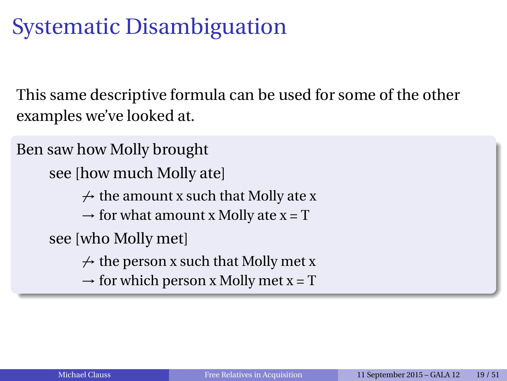This same descriptive formula can be used for some of the other examples we've looked at.

Ben saw how Molly brought see [how much Molly ate]  $\rightarrow$  the amount x such that Molly ate x  $\rightarrow$  for what amount x Molly ate x = T see [who Molly met]  $\rightarrow$  the person x such that Molly met x  $\rightarrow$  for which person x Molly met x = T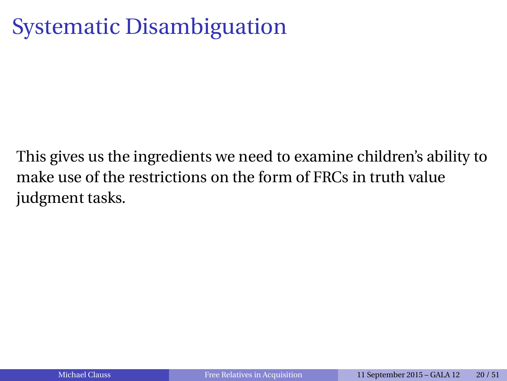This gives us the ingredients we need to examine children's ability to make use of the restrictions on the form of FRCs in truth value judgment tasks.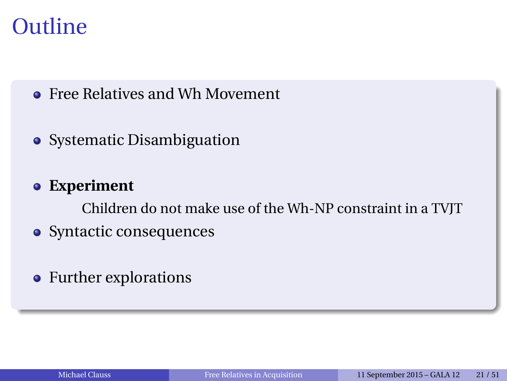### **Outline**

- **Free Relatives and Wh Movement**
- Systematic Disambiguation
- **Experiment**

Children do not make use of the Wh-NP constraint in a TVJT

- Syntactic consequences
- Further explorations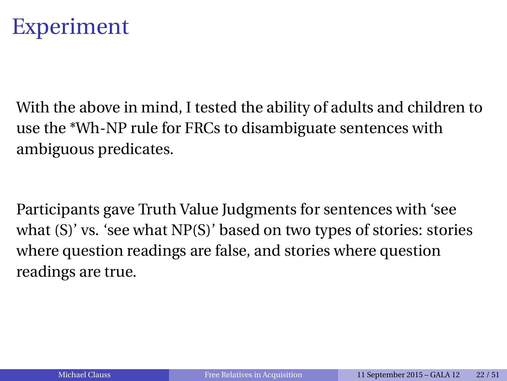

With the above in mind, I tested the ability of adults and children to use the \*Wh-NP rule for FRCs to disambiguate sentences with ambiguous predicates.

Participants gave Truth Value Judgments for sentences with 'see what (S)' vs. 'see what NP(S)' based on two types of stories: stories where question readings are false, and stories where question readings are true.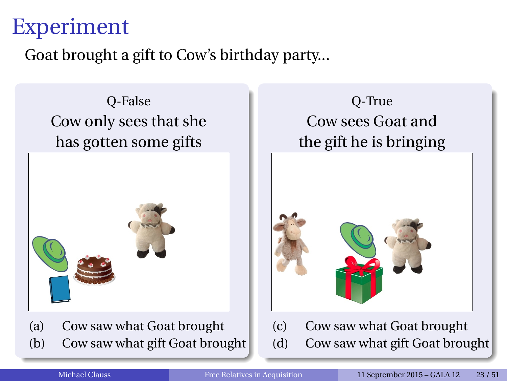### Experiment

Goat brought a gift to Cow's birthday party...

Q-False Cow only sees that she has gotten some gifts



(a) Cow saw what Goat brought (b) Cow saw what gift Goat brought





(c) Cow saw what Goat brought (d) Cow saw what gift Goat brought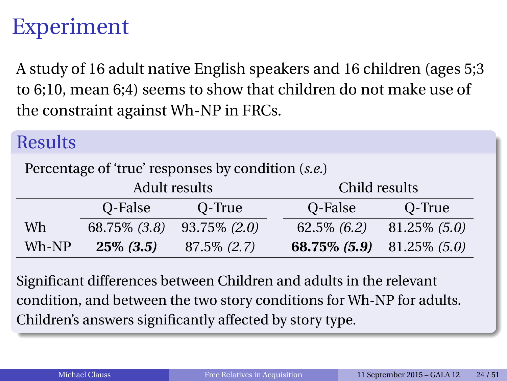### Experiment

A study of 16 adult native English speakers and 16 children (ages 5;3 to 6;10, mean 6;4) seems to show that children do not make use of the constraint against Wh-NP in FRCs.

#### **Results**

Percentage of 'true' responses by condition (*s.e.*)

|         | Adult results     |                 | Child results                    |                 |
|---------|-------------------|-----------------|----------------------------------|-----------------|
|         | O-False           | O-True          | O-False                          | O-True          |
| Wh      | $68.75\%$ $(3.8)$ | $93.75\%$ (2.0) | $62.5\%$ $(6.2)$                 | $81.25\%$ (5.0) |
| $Wh-NP$ | $25\% (3.5)$      | $87.5\% (2.7)$  | <b>68.75% (5.9)</b> 81.25% (5.0) |                 |

Significant differences between Children and adults in the relevant condition, and between the two story conditions for Wh-NP for adults. Children's answers significantly affected by story type.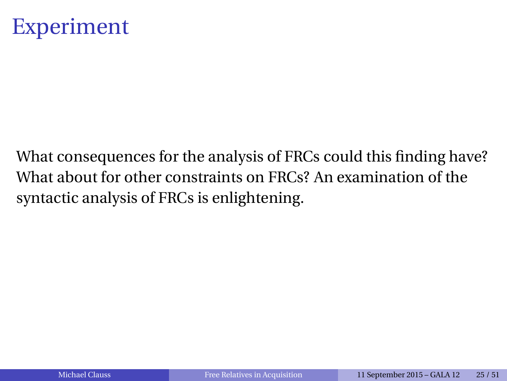

What consequences for the analysis of FRCs could this finding have? What about for other constraints on FRCs? An examination of the syntactic analysis of FRCs is enlightening.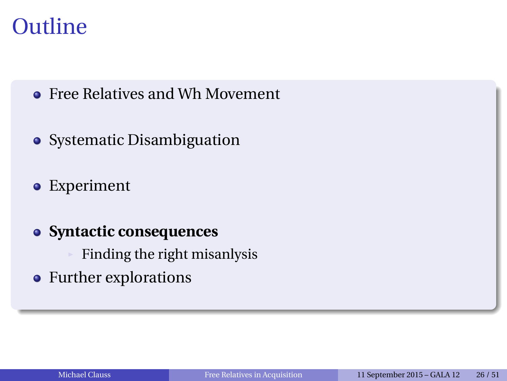### **Outline**

- **Free Relatives and Wh Movement**
- Systematic Disambiguation
- Experiment
- **Syntactic consequences**
	- Finding the right misanlysis
- Further explorations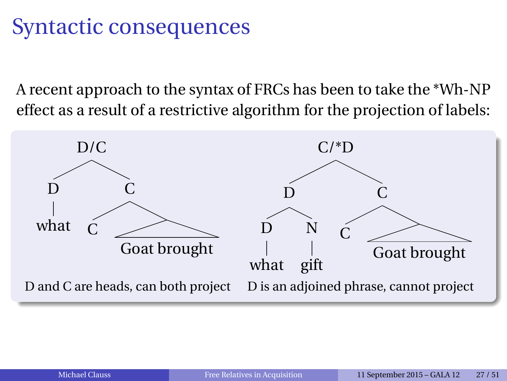A recent approach to the syntax of FRCs has been to take the \*Wh-NP effect as a result of a restrictive algorithm for the projection of labels:

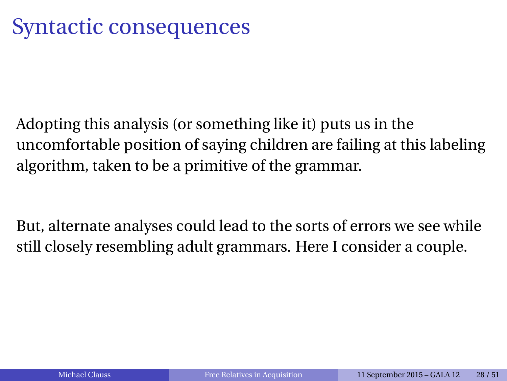Adopting this analysis (or something like it) puts us in the uncomfortable position of saying children are failing at this labeling algorithm, taken to be a primitive of the grammar.

But, alternate analyses could lead to the sorts of errors we see while still closely resembling adult grammars. Here I consider a couple.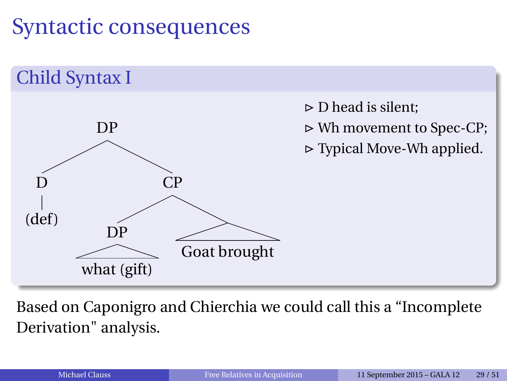

Based on Caponigro and Chierchia we could call this a "Incomplete Derivation" analysis.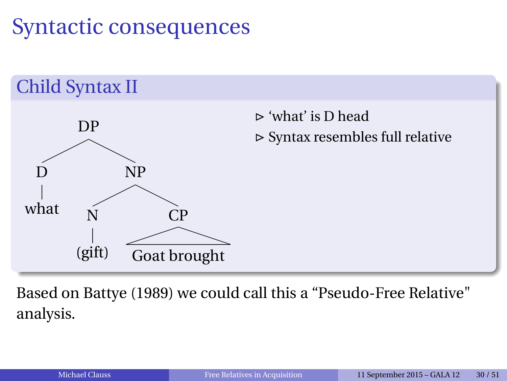

Based on Battye (1989) we could call this a "Pseudo-Free Relative" analysis.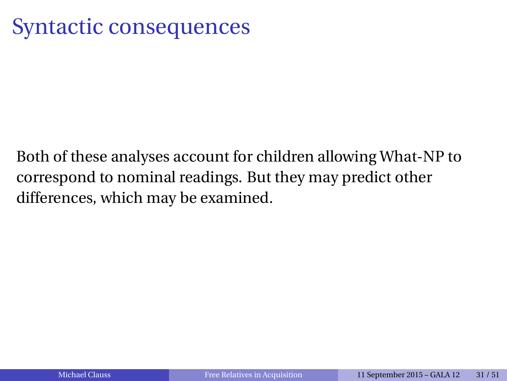Both of these analyses account for children allowing What-NP to correspond to nominal readings. But they may predict other differences, which may be examined.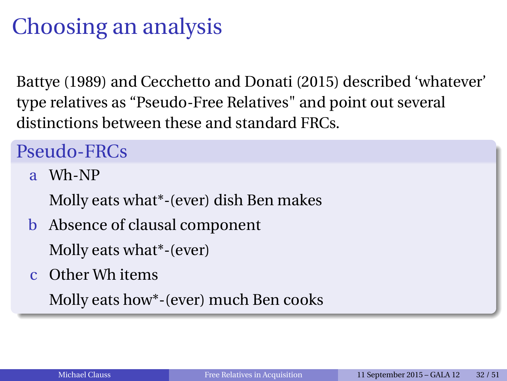# Choosing an analysis

Battye (1989) and Cecchetto and Donati (2015) described 'whatever' type relatives as "Pseudo-Free Relatives" and point out several distinctions between these and standard FRCs.

### Pseudo-FRCs

a Wh-NP

Molly eats what\*-(ever) dish Ben makes

b Absence of clausal component

Molly eats what\*-(ever)

c Other Wh items

Molly eats how\*-(ever) much Ben cooks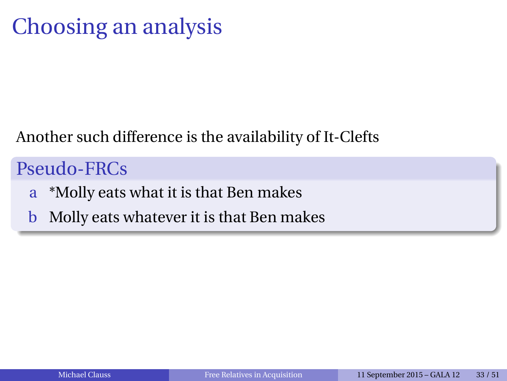# Choosing an analysis

#### Another such difference is the availability of It-Clefts

### Pseudo-FRCs

- a \*Molly eats what it is that Ben makes
- b Molly eats whatever it is that Ben makes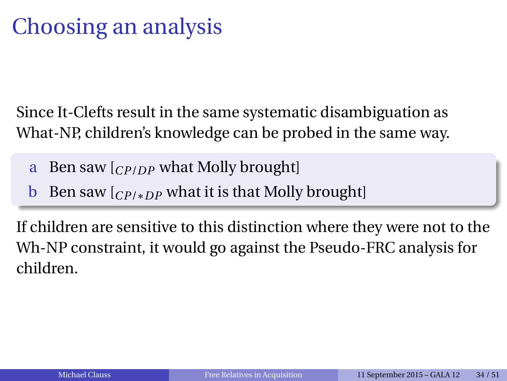# Choosing an analysis

Since It-Clefts result in the same systematic disambiguation as What-NP, children's knowledge can be probed in the same way.

- a Ben saw [*CP*/*DP* what Molly brought]
- b Ben saw [*CP*/∗*DP* what it is that Molly brought]

If children are sensitive to this distinction where they were not to the Wh-NP constraint, it would go against the Pseudo-FRC analysis for children.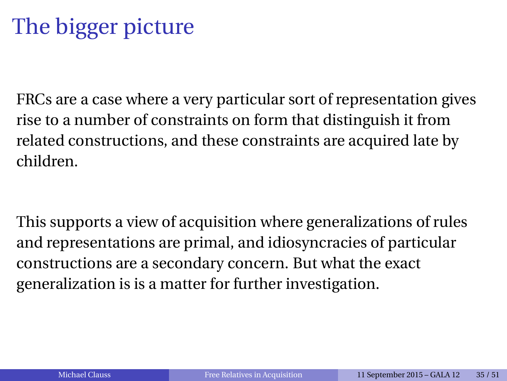# The bigger picture

FRCs are a case where a very particular sort of representation gives rise to a number of constraints on form that distinguish it from related constructions, and these constraints are acquired late by children.

This supports a view of acquisition where generalizations of rules and representations are primal, and idiosyncracies of particular constructions are a secondary concern. But what the exact generalization is is a matter for further investigation.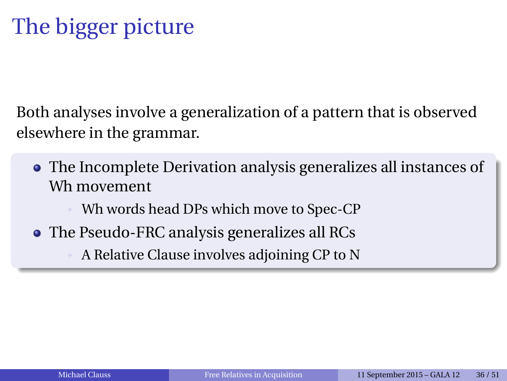# The bigger picture

Both analyses involve a generalization of a pattern that is observed elsewhere in the grammar.

- The Incomplete Derivation analysis generalizes all instances of Wh movement
	- Wh words head DPs which move to Spec-CP
- The Pseudo-FRC analysis generalizes all RCs

A Relative Clause involves adjoining CP to N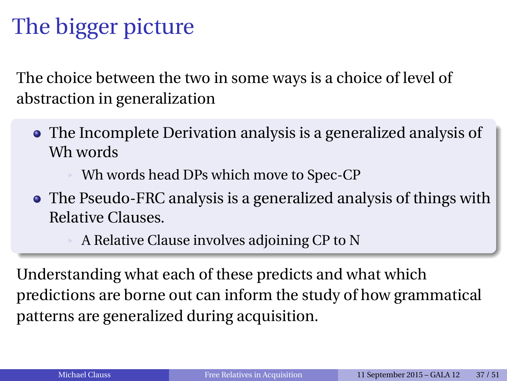# The bigger picture

The choice between the two in some ways is a choice of level of abstraction in generalization

The Incomplete Derivation analysis is a generalized analysis of Wh words

Wh words head DPs which move to Spec-CP

The Pseudo-FRC analysis is a generalized analysis of things with Relative Clauses.

A Relative Clause involves adjoining CP to N

Understanding what each of these predicts and what which predictions are borne out can inform the study of how grammatical patterns are generalized during acquisition.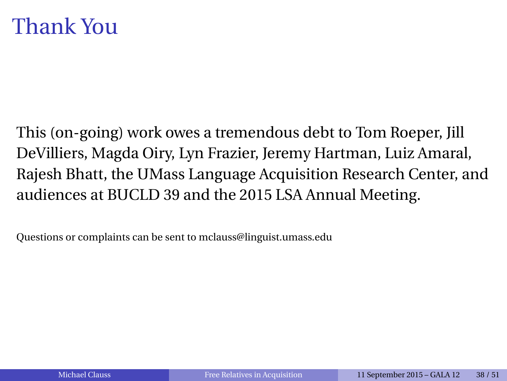### Thank You

This (on-going) work owes a tremendous debt to Tom Roeper, Jill DeVilliers, Magda Oiry, Lyn Frazier, Jeremy Hartman, Luiz Amaral, Rajesh Bhatt, the UMass Language Acquisition Research Center, and audiences at BUCLD 39 and the 2015 LSA Annual Meeting.

Questions or complaints can be sent to mclauss@linguist.umass.edu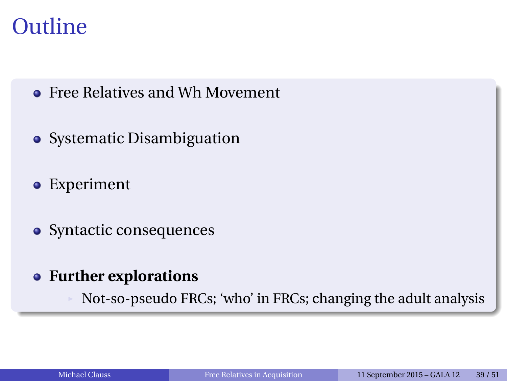### **Outline**

- **Free Relatives and Wh Movement**
- Systematic Disambiguation
- Experiment
- Syntactic consequences
- **Further explorations**  $\bullet$ 
	- Not-so-pseudo FRCs; 'who' in FRCs; changing the adult analysis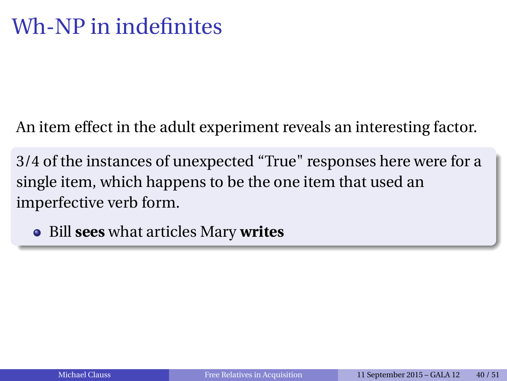An item effect in the adult experiment reveals an interesting factor.

3/4 of the instances of unexpected "True" responses here were for a single item, which happens to be the one item that used an imperfective verb form.

Bill **sees** what articles Mary **writes**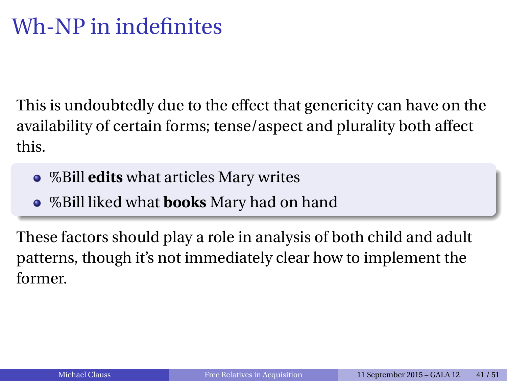## Wh-NP in indefinites

This is undoubtedly due to the effect that genericity can have on the availability of certain forms; tense/aspect and plurality both affect this.

- %Bill **edits** what articles Mary writes
- %Bill liked what **books** Mary had on hand

These factors should play a role in analysis of both child and adult patterns, though it's not immediately clear how to implement the former.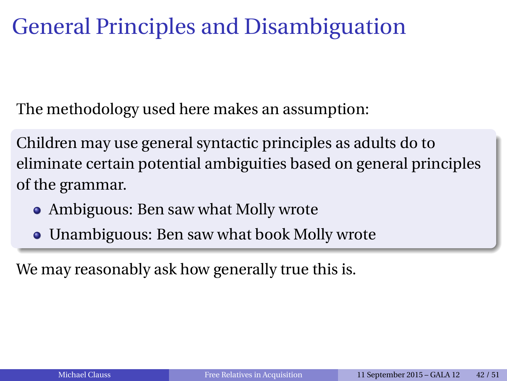### General Principles and Disambiguation

The methodology used here makes an assumption:

Children may use general syntactic principles as adults do to eliminate certain potential ambiguities based on general principles of the grammar.

- Ambiguous: Ben saw what Molly wrote
- Unambiguous: Ben saw what book Molly wrote

We may reasonably ask how generally true this is.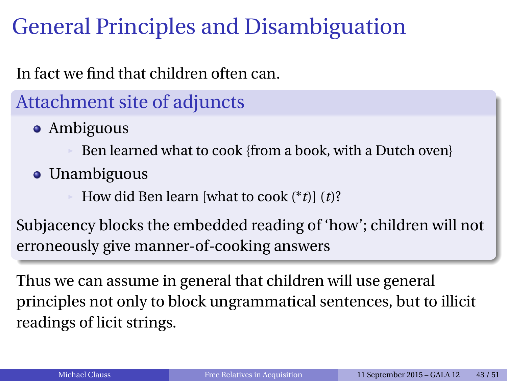# General Principles and Disambiguation

#### In fact we find that children often can.

### Attachment site of adjuncts

• Ambiguous

Ben learned what to cook {from a book, with a Dutch oven}

• Unambiguous

How did Ben learn [what to cook (\**t*)] (*t*)?

Subjacency blocks the embedded reading of 'how'; children will not erroneously give manner-of-cooking answers

Thus we can assume in general that children will use general principles not only to block ungrammatical sentences, but to illicit readings of licit strings.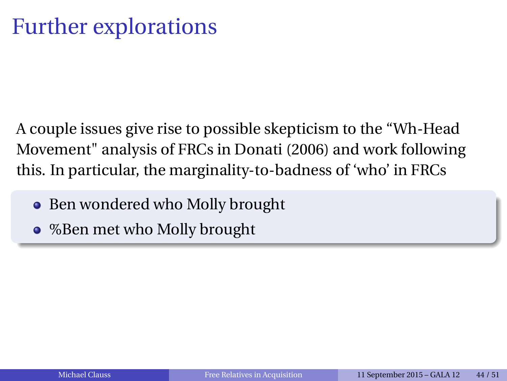A couple issues give rise to possible skepticism to the "Wh-Head Movement" analysis of FRCs in Donati (2006) and work following this. In particular, the marginality-to-badness of 'who' in FRCs

- Ben wondered who Molly brought  $\bullet$
- %Ben met who Molly brought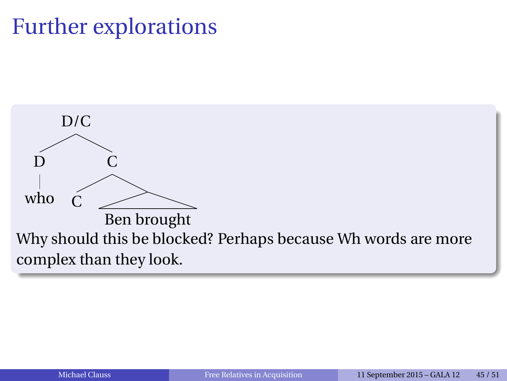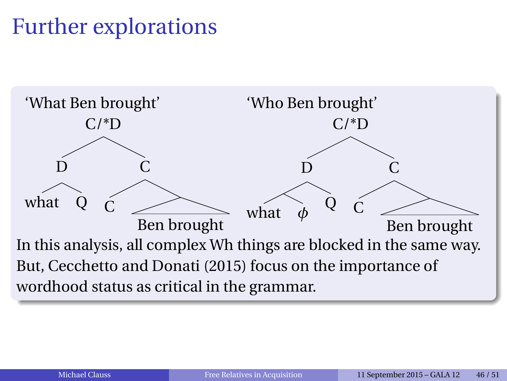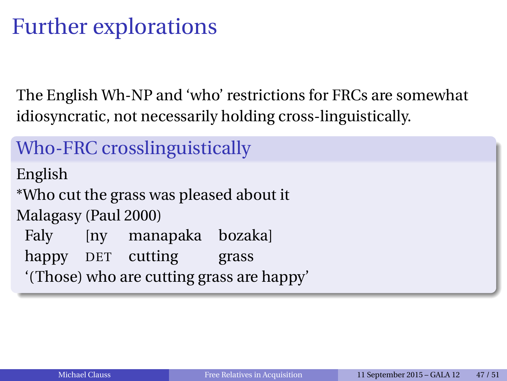The English Wh-NP and 'who' restrictions for FRCs are somewhat idiosyncratic, not necessarily holding cross-linguistically.

Who-FRC crosslinguistically English \*Who cut the grass was pleased about it Malagasy (Paul 2000) Faly [ny manapaka bozaka] happy DET cutting grass '(Those) who are cutting grass are happy'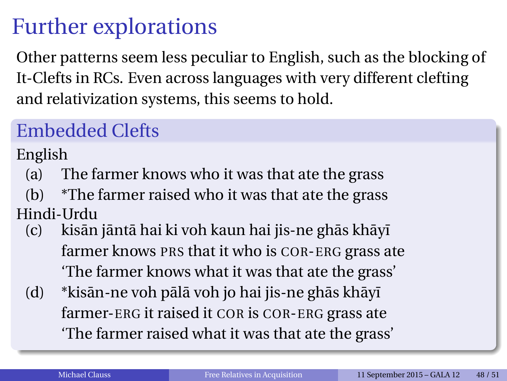Other patterns seem less peculiar to English, such as the blocking of It-Clefts in RCs. Even across languages with very different clefting and relativization systems, this seems to hold.

### Embedded Clefts

English

- (a) The farmer knows who it was that ate the grass
- (b) \*The farmer raised who it was that ate the grass Hindi-Urdu
	- (c) kisān jāntā hai ki voh kaun hai jis-ne ghās khāyī farmer knows PRS that it who is COR-ERG grass ate 'The farmer knows what it was that ate the grass'
	- $(d)$  \*kisān-ne voh pālā voh jo hai jis-ne ghās khā vī farmer-ERG it raised it COR is COR-ERG grass ate 'The farmer raised what it was that ate the grass'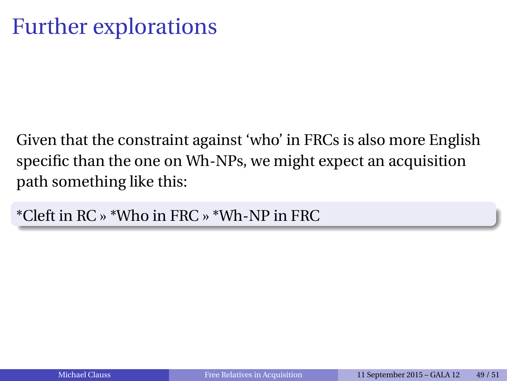Given that the constraint against 'who' in FRCs is also more English specific than the one on Wh-NPs, we might expect an acquisition path something like this:

\*Cleft in RC » \*Who in FRC » \*Wh-NP in FRC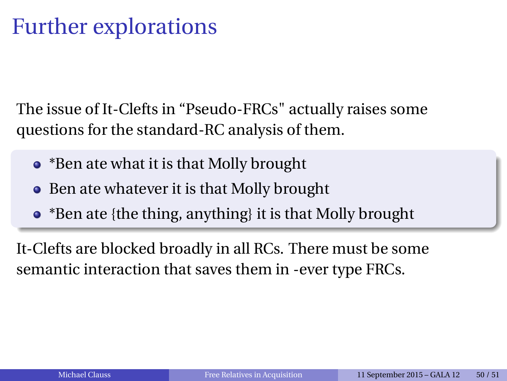The issue of It-Clefts in "Pseudo-FRCs" actually raises some questions for the standard-RC analysis of them.

- \*Ben ate what it is that Molly brought
- Ben ate whatever it is that Molly brought
- \*Ben ate {the thing, anything} it is that Molly brought

It-Clefts are blocked broadly in all RCs. There must be some semantic interaction that saves them in -ever type FRCs.